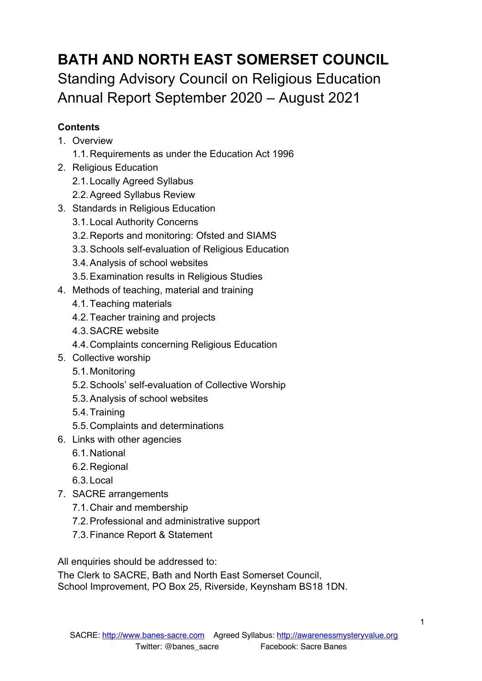# **BATH AND NORTH EAST SOMERSET COUNCIL** Standing Advisory Council on Religious Education Annual Report September 2020 – August 2021

# **Contents**

- 1. Overview
	- 1.1.Requirements as under the Education Act 1996
- 2. Religious Education
	- 2.1.Locally Agreed Syllabus
	- 2.2.Agreed Syllabus Review
- 3. Standards in Religious Education
	- 3.1.Local Authority Concerns
	- 3.2.Reports and monitoring: Ofsted and SIAMS
	- 3.3.Schools self-evaluation of Religious Education
	- 3.4.Analysis of school websites
	- 3.5.Examination results in Religious Studies
- 4. Methods of teaching, material and training
	- 4.1.Teaching materials
	- 4.2.Teacher training and projects
	- 4.3.SACRE website
	- 4.4.Complaints concerning Religious Education
- 5. Collective worship
	- 5.1.Monitoring
	- 5.2.Schools' self-evaluation of Collective Worship
	- 5.3.Analysis of school websites
	- 5.4.Training
	- 5.5.Complaints and determinations
- 6. Links with other agencies
	- 6.1.National
	- 6.2.Regional
	- 6.3.Local
- 7. SACRE arrangements
	- 7.1.Chair and membership
	- 7.2.Professional and administrative support
	- 7.3.Finance Report & Statement

All enquiries should be addressed to:

The Clerk to SACRE, Bath and North East Somerset Council, School Improvement, PO Box 25, Riverside, Keynsham BS18 1DN.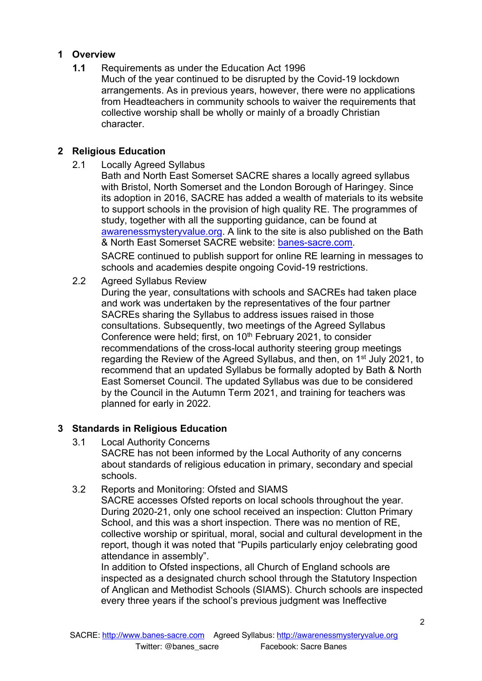# **1 Overview**

**1.1** Requirements as under the Education Act 1996

Much of the year continued to be disrupted by the Covid-19 lockdown arrangements. As in previous years, however, there were no applications from Headteachers in community schools to waiver the requirements that collective worship shall be wholly or mainly of a broadly Christian character.

# **2 Religious Education**

2.1 Locally Agreed Syllabus

Bath and North East Somerset SACRE shares a locally agreed syllabus with Bristol, North Somerset and the London Borough of Haringey. Since its adoption in 2016, SACRE has added a wealth of materials to its website to support schools in the provision of high quality RE. The programmes of study, together with all the supporting guidance, can be found at awarenessmysteryvalue.org. A link to the site is also published on the Bath & North East Somerset SACRE website: banes-sacre.com. SACRE continued to publish support for online RE learning in messages to

schools and academies despite ongoing Covid-19 restrictions.

2.2 Agreed Syllabus Review

During the year, consultations with schools and SACREs had taken place and work was undertaken by the representatives of the four partner SACREs sharing the Syllabus to address issues raised in those consultations. Subsequently, two meetings of the Agreed Syllabus Conference were held; first, on 10<sup>th</sup> February 2021, to consider recommendations of the cross-local authority steering group meetings regarding the Review of the Agreed Syllabus, and then, on 1<sup>st</sup> July 2021, to recommend that an updated Syllabus be formally adopted by Bath & North East Somerset Council. The updated Syllabus was due to be considered by the Council in the Autumn Term 2021, and training for teachers was planned for early in 2022.

# **3 Standards in Religious Education**

- 3.1 Local Authority Concerns SACRE has not been informed by the Local Authority of any concerns about standards of religious education in primary, secondary and special schools.
- 3.2 Reports and Monitoring: Ofsted and SIAMS

SACRE accesses Ofsted reports on local schools throughout the year. During 2020-21, only one school received an inspection: Clutton Primary School, and this was a short inspection. There was no mention of RE, collective worship or spiritual, moral, social and cultural development in the report, though it was noted that "Pupils particularly enjoy celebrating good attendance in assembly".

In addition to Ofsted inspections, all Church of England schools are inspected as a designated church school through the Statutory Inspection of Anglican and Methodist Schools (SIAMS). Church schools are inspected every three years if the school's previous judgment was Ineffective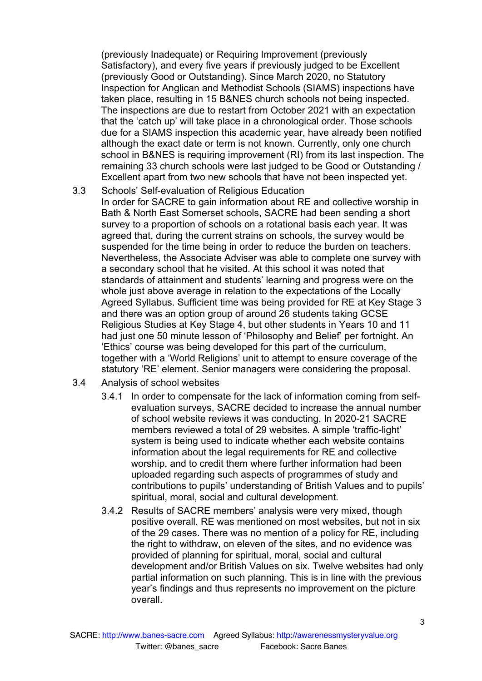(previously Inadequate) or Requiring Improvement (previously Satisfactory), and every five years if previously judged to be Excellent (previously Good or Outstanding). Since March 2020, no Statutory Inspection for Anglican and Methodist Schools (SIAMS) inspections have taken place, resulting in 15 B&NES church schools not being inspected. The inspections are due to restart from October 2021 with an expectation that the 'catch up' will take place in a chronological order. Those schools due for a SIAMS inspection this academic year, have already been notified although the exact date or term is not known. Currently, only one church school in B&NES is requiring improvement (RI) from its last inspection. The remaining 33 church schools were last judged to be Good or Outstanding / Excellent apart from two new schools that have not been inspected yet.

- 3.3 Schools' Self-evaluation of Religious Education In order for SACRE to gain information about RE and collective worship in Bath & North East Somerset schools, SACRE had been sending a short survey to a proportion of schools on a rotational basis each year. It was agreed that, during the current strains on schools, the survey would be suspended for the time being in order to reduce the burden on teachers. Nevertheless, the Associate Adviser was able to complete one survey with a secondary school that he visited. At this school it was noted that standards of attainment and students' learning and progress were on the whole just above average in relation to the expectations of the Locally Agreed Syllabus. Sufficient time was being provided for RE at Key Stage 3 and there was an option group of around 26 students taking GCSE Religious Studies at Key Stage 4, but other students in Years 10 and 11 had just one 50 minute lesson of 'Philosophy and Belief' per fortnight. An 'Ethics' course was being developed for this part of the curriculum, together with a 'World Religions' unit to attempt to ensure coverage of the statutory 'RE' element. Senior managers were considering the proposal.
- 3.4 Analysis of school websites
	- 3.4.1 In order to compensate for the lack of information coming from selfevaluation surveys, SACRE decided to increase the annual number of school website reviews it was conducting. In 2020-21 SACRE members reviewed a total of 29 websites. A simple 'traffic-light' system is being used to indicate whether each website contains information about the legal requirements for RE and collective worship, and to credit them where further information had been uploaded regarding such aspects of programmes of study and contributions to pupils' understanding of British Values and to pupils' spiritual, moral, social and cultural development.
	- 3.4.2 Results of SACRE members' analysis were very mixed, though positive overall. RE was mentioned on most websites, but not in six of the 29 cases. There was no mention of a policy for RE, including the right to withdraw, on eleven of the sites, and no evidence was provided of planning for spiritual, moral, social and cultural development and/or British Values on six. Twelve websites had only partial information on such planning. This is in line with the previous year's findings and thus represents no improvement on the picture overall.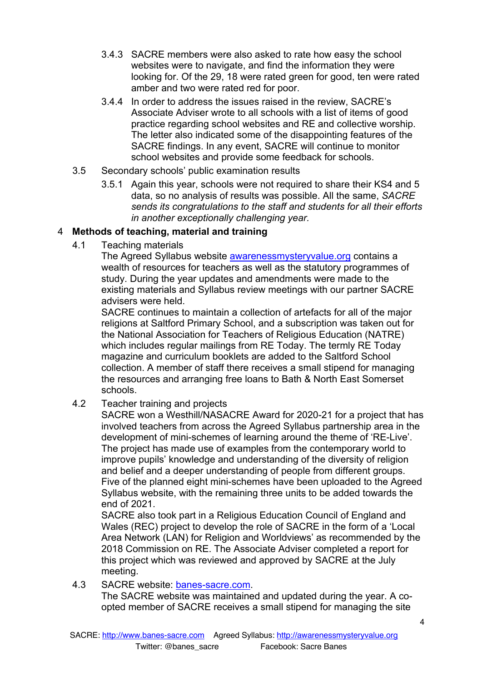- 3.4.3 SACRE members were also asked to rate how easy the school websites were to navigate, and find the information they were looking for. Of the 29, 18 were rated green for good, ten were rated amber and two were rated red for poor.
- 3.4.4 In order to address the issues raised in the review, SACRE's Associate Adviser wrote to all schools with a list of items of good practice regarding school websites and RE and collective worship. The letter also indicated some of the disappointing features of the SACRE findings. In any event, SACRE will continue to monitor school websites and provide some feedback for schools.
- 3.5 Secondary schools' public examination results
	- 3.5.1 Again this year, schools were not required to share their KS4 and 5 data, so no analysis of results was possible. All the same, *SACRE sends its congratulations to the staff and students for all their efforts in another exceptionally challenging year.*

# 4 **Methods of teaching, material and training**

4.1 Teaching materials

The Agreed Syllabus website awarenessmysteryvalue.org contains a wealth of resources for teachers as well as the statutory programmes of study. During the year updates and amendments were made to the existing materials and Syllabus review meetings with our partner SACRE advisers were held.

SACRE continues to maintain a collection of artefacts for all of the major religions at Saltford Primary School, and a subscription was taken out for the National Association for Teachers of Religious Education (NATRE) which includes regular mailings from RE Today. The termly RE Today magazine and curriculum booklets are added to the Saltford School collection. A member of staff there receives a small stipend for managing the resources and arranging free loans to Bath & North East Somerset schools.

4.2 Teacher training and projects

SACRE won a Westhill/NASACRE Award for 2020-21 for a project that has involved teachers from across the Agreed Syllabus partnership area in the development of mini-schemes of learning around the theme of 'RE-Live'. The project has made use of examples from the contemporary world to improve pupils' knowledge and understanding of the diversity of religion and belief and a deeper understanding of people from different groups. Five of the planned eight mini-schemes have been uploaded to the Agreed Syllabus website, with the remaining three units to be added towards the end of 2021.

SACRE also took part in a Religious Education Council of England and Wales (REC) project to develop the role of SACRE in the form of a 'Local Area Network (LAN) for Religion and Worldviews' as recommended by the 2018 Commission on RE. The Associate Adviser completed a report for this project which was reviewed and approved by SACRE at the July meeting.

4.3 SACRE website: banes-sacre.com.

The SACRE website was maintained and updated during the year. A coopted member of SACRE receives a small stipend for managing the site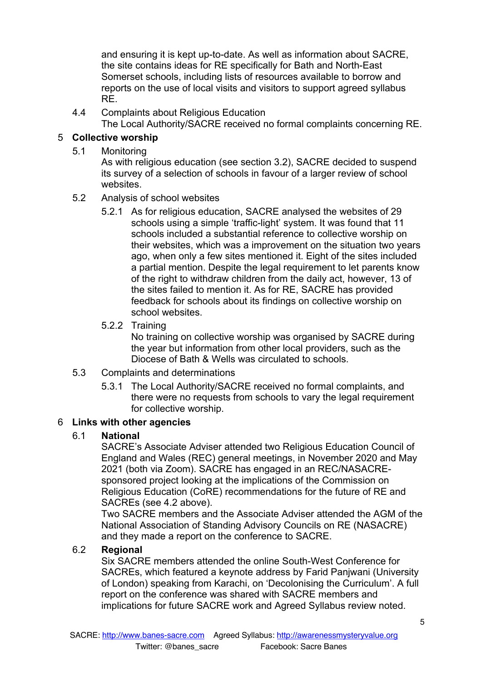and ensuring it is kept up-to-date. As well as information about SACRE, the site contains ideas for RE specifically for Bath and North-East Somerset schools, including lists of resources available to borrow and reports on the use of local visits and visitors to support agreed syllabus RE.

4.4 Complaints about Religious Education

The Local Authority/SACRE received no formal complaints concerning RE.

# 5 **Collective worship**

5.1 Monitoring

As with religious education (see section 3.2), SACRE decided to suspend its survey of a selection of schools in favour of a larger review of school websites.

- 5.2 Analysis of school websites
	- 5.2.1 As for religious education, SACRE analysed the websites of 29 schools using a simple 'traffic-light' system. It was found that 11 schools included a substantial reference to collective worship on their websites, which was a improvement on the situation two years ago, when only a few sites mentioned it. Eight of the sites included a partial mention. Despite the legal requirement to let parents know of the right to withdraw children from the daily act, however, 13 of the sites failed to mention it. As for RE, SACRE has provided feedback for schools about its findings on collective worship on school websites.

#### 5.2.2 Training

No training on collective worship was organised by SACRE during the year but information from other local providers, such as the Diocese of Bath & Wells was circulated to schools.

- 5.3 Complaints and determinations
	- 5.3.1 The Local Authority/SACRE received no formal complaints, and there were no requests from schools to vary the legal requirement for collective worship.

#### 6 **Links with other agencies**

#### 6.1 **National**

SACRE's Associate Adviser attended two Religious Education Council of England and Wales (REC) general meetings, in November 2020 and May 2021 (both via Zoom). SACRE has engaged in an REC/NASACREsponsored project looking at the implications of the Commission on Religious Education (CoRE) recommendations for the future of RE and SACREs (see 4.2 above).

Two SACRE members and the Associate Adviser attended the AGM of the National Association of Standing Advisory Councils on RE (NASACRE) and they made a report on the conference to SACRE.

#### 6.2 **Regional**

Six SACRE members attended the online South-West Conference for SACREs, which featured a keynote address by Farid Panjwani (University of London) speaking from Karachi, on 'Decolonising the Curriculum'. A full report on the conference was shared with SACRE members and implications for future SACRE work and Agreed Syllabus review noted.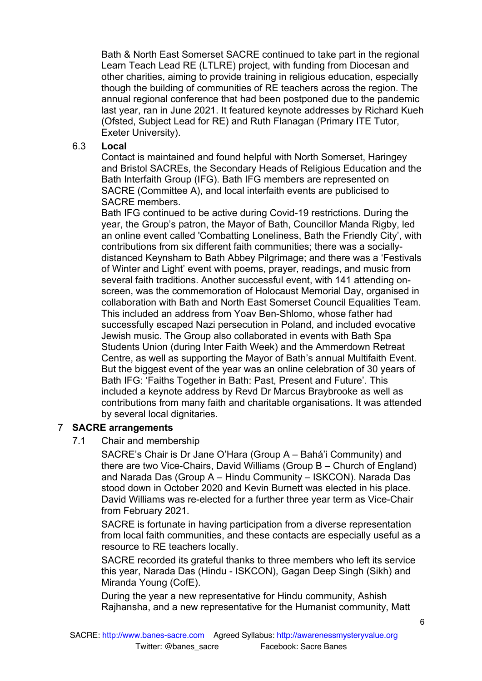Bath & North East Somerset SACRE continued to take part in the regional Learn Teach Lead RE (LTLRE) project, with funding from Diocesan and other charities, aiming to provide training in religious education, especially though the building of communities of RE teachers across the region. The annual regional conference that had been postponed due to the pandemic last year, ran in June 2021. It featured keynote addresses by Richard Kueh (Ofsted, Subject Lead for RE) and Ruth Flanagan (Primary ITE Tutor, Exeter University).

#### 6.3 **Local**

Contact is maintained and found helpful with North Somerset, Haringey and Bristol SACREs, the Secondary Heads of Religious Education and the Bath Interfaith Group (IFG). Bath IFG members are represented on SACRE (Committee A), and local interfaith events are publicised to SACRE members.

Bath IFG continued to be active during Covid-19 restrictions. During the year, the Group's patron, the Mayor of Bath, Councillor Manda Rigby, led an online event called 'Combatting Loneliness, Bath the Friendly City', with contributions from six different faith communities; there was a sociallydistanced Keynsham to Bath Abbey Pilgrimage; and there was a 'Festivals of Winter and Light' event with poems, prayer, readings, and music from several faith traditions. Another successful event, with 141 attending onscreen, was the commemoration of Holocaust Memorial Day, organised in collaboration with Bath and North East Somerset Council Equalities Team. This included an address from Yoav Ben-Shlomo, whose father had successfully escaped Nazi persecution in Poland, and included evocative Jewish music. The Group also collaborated in events with Bath Spa Students Union (during Inter Faith Week) and the Ammerdown Retreat Centre, as well as supporting the Mayor of Bath's annual Multifaith Event. But the biggest event of the year was an online celebration of 30 years of Bath IFG: 'Faiths Together in Bath: Past, Present and Future'. This included a keynote address by Revd Dr Marcus Braybrooke as well as contributions from many faith and charitable organisations. It was attended by several local dignitaries.

#### 7 **SACRE arrangements**

7.1 Chair and membership

SACRE's Chair is Dr Jane O'Hara (Group A – Bahá'i Community) and there are two Vice-Chairs, David Williams (Group B – Church of England) and Narada Das (Group A – Hindu Community – ISKCON). Narada Das stood down in October 2020 and Kevin Burnett was elected in his place. David Williams was re-elected for a further three year term as Vice-Chair from February 2021.

SACRE is fortunate in having participation from a diverse representation from local faith communities, and these contacts are especially useful as a resource to RE teachers locally.

SACRE recorded its grateful thanks to three members who left its service this year, Narada Das (Hindu - ISKCON), Gagan Deep Singh (Sikh) and Miranda Young (CofE).

During the year a new representative for Hindu community, Ashish Rajhansha, and a new representative for the Humanist community, Matt